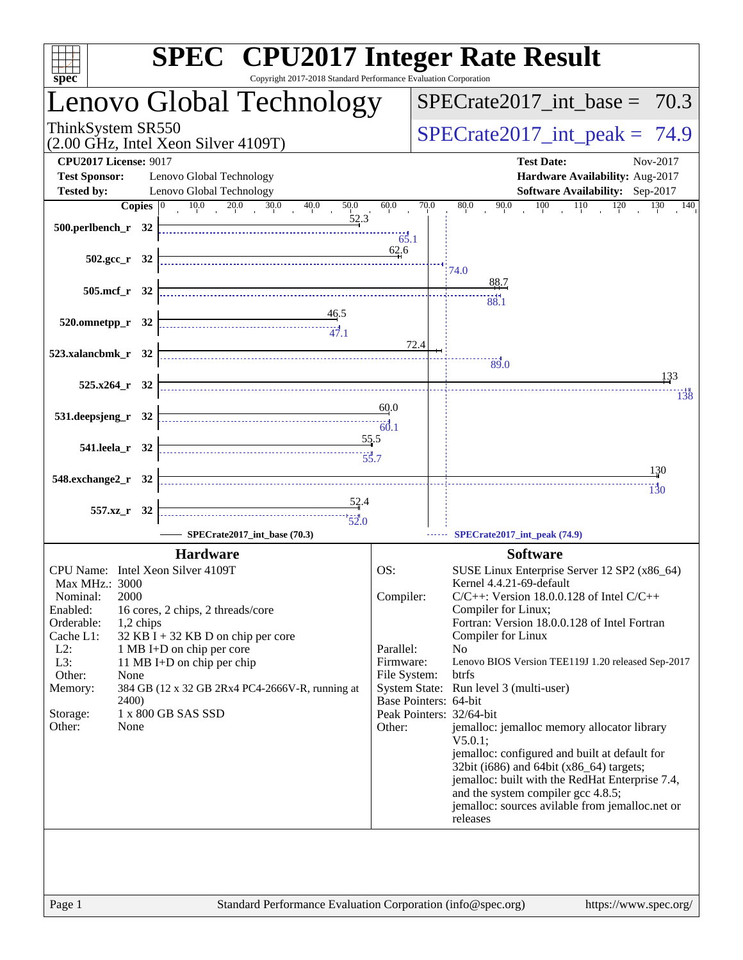| $sp\overline{ec}$                                   | <b>SPEC<sup>®</sup></b> CPU2017 Integer Rate Result<br>Copyright 2017-2018 Standard Performance Evaluation Corporation |              |                                                                                           |
|-----------------------------------------------------|------------------------------------------------------------------------------------------------------------------------|--------------|-------------------------------------------------------------------------------------------|
|                                                     | Lenovo Global Technology                                                                                               |              | $SPECTate2017\_int\_base = 70.3$                                                          |
| ThinkSystem SR550                                   | (2.00 GHz, Intel Xeon Silver 4109T)                                                                                    |              | $SPECrate2017\_int\_peak = 74.9$                                                          |
| <b>CPU2017 License: 9017</b>                        |                                                                                                                        |              | <b>Test Date:</b><br>Nov-2017                                                             |
| <b>Test Sponsor:</b>                                | Lenovo Global Technology                                                                                               |              | Hardware Availability: Aug-2017                                                           |
| <b>Tested by:</b>                                   | Lenovo Global Technology                                                                                               | 60.0         | Software Availability: Sep-2017                                                           |
| Copies $ 0 $<br>500.perlbench_r 32                  | $10.0$ $20.0$ $30.0$<br>40.0<br>50.0<br>52.3                                                                           | 65.1<br>62.6 | 90.0<br>70.0<br>80.0<br>$100 \t 110 \t 120$<br>130<br>$\overline{140}$                    |
| $502.\text{gcc}_r$ 32                               |                                                                                                                        |              | 74.0                                                                                      |
| 505.mcf r 32                                        |                                                                                                                        |              | 88.7                                                                                      |
| 520.omnetpp_r 32                                    | $\begin{array}{c}\n 46.5 \\  \overline{ )} \\  47.1\n \end{array}$                                                     |              | 88.1                                                                                      |
|                                                     |                                                                                                                        | 72.4         |                                                                                           |
| 523.xalancbmk_r 32                                  |                                                                                                                        |              | 89.0<br>133                                                                               |
| $525.x264$ $r$ 32                                   |                                                                                                                        |              | 138                                                                                       |
| 531.deepsjeng_r 32                                  |                                                                                                                        | 60.0<br>60.1 |                                                                                           |
| 541.leela_r 32                                      | 55.5                                                                                                                   |              |                                                                                           |
| 548.exchange2_r 32                                  |                                                                                                                        |              | 130<br>130                                                                                |
| 557.xz_r 32                                         | $\frac{52.4}{5}$                                                                                                       |              |                                                                                           |
|                                                     |                                                                                                                        |              |                                                                                           |
|                                                     | SPECrate2017_int_base (70.3)                                                                                           |              | SPECrate2017_int_peak (74.9)                                                              |
|                                                     | <b>Hardware</b>                                                                                                        |              | <b>Software</b>                                                                           |
| CPU Name: Intel Xeon Silver 4109T<br>Max MHz.: 3000 |                                                                                                                        | OS:          | SUSE Linux Enterprise Server 12 SP2 (x86_64)<br>Kernel 4.4.21-69-default                  |
| 2000<br>Nominal:                                    |                                                                                                                        | Compiler:    | $C/C++$ : Version 18.0.0.128 of Intel $C/C++$                                             |
| Enabled:                                            | 16 cores, 2 chips, 2 threads/core                                                                                      |              | Compiler for Linux;                                                                       |
| Orderable:<br>1,2 chips<br>Cache L1:                |                                                                                                                        |              | Fortran: Version 18.0.0.128 of Intel Fortran<br>Compiler for Linux                        |
| $L2$ :                                              | 32 KB I + 32 KB D on chip per core<br>1 MB I+D on chip per core                                                        | Parallel:    | N <sub>0</sub>                                                                            |
| L3:                                                 | 11 MB I+D on chip per chip                                                                                             | Firmware:    | Lenovo BIOS Version TEE119J 1.20 released Sep-2017                                        |
| Other:<br>None                                      |                                                                                                                        | File System: | btrfs                                                                                     |
| Memory:<br><b>2400</b> )                            | 384 GB (12 x 32 GB 2Rx4 PC4-2666V-R, running at                                                                        |              | System State: Run level 3 (multi-user)<br>Base Pointers: 64-bit                           |
| Storage:                                            | 1 x 800 GB SAS SSD                                                                                                     |              | Peak Pointers: 32/64-bit                                                                  |
| Other:<br>None                                      |                                                                                                                        | Other:       | jemalloc: jemalloc memory allocator library<br>$V5.0.1$ :                                 |
|                                                     |                                                                                                                        |              | jemalloc: configured and built at default for<br>32bit (i686) and 64bit (x86_64) targets; |
|                                                     |                                                                                                                        |              | jemalloc: built with the RedHat Enterprise 7.4,                                           |
|                                                     |                                                                                                                        |              | and the system compiler gcc 4.8.5;                                                        |
|                                                     |                                                                                                                        |              | jemalloc: sources avilable from jemalloc.net or<br>releases                               |
|                                                     |                                                                                                                        |              |                                                                                           |
|                                                     |                                                                                                                        |              |                                                                                           |
|                                                     |                                                                                                                        |              |                                                                                           |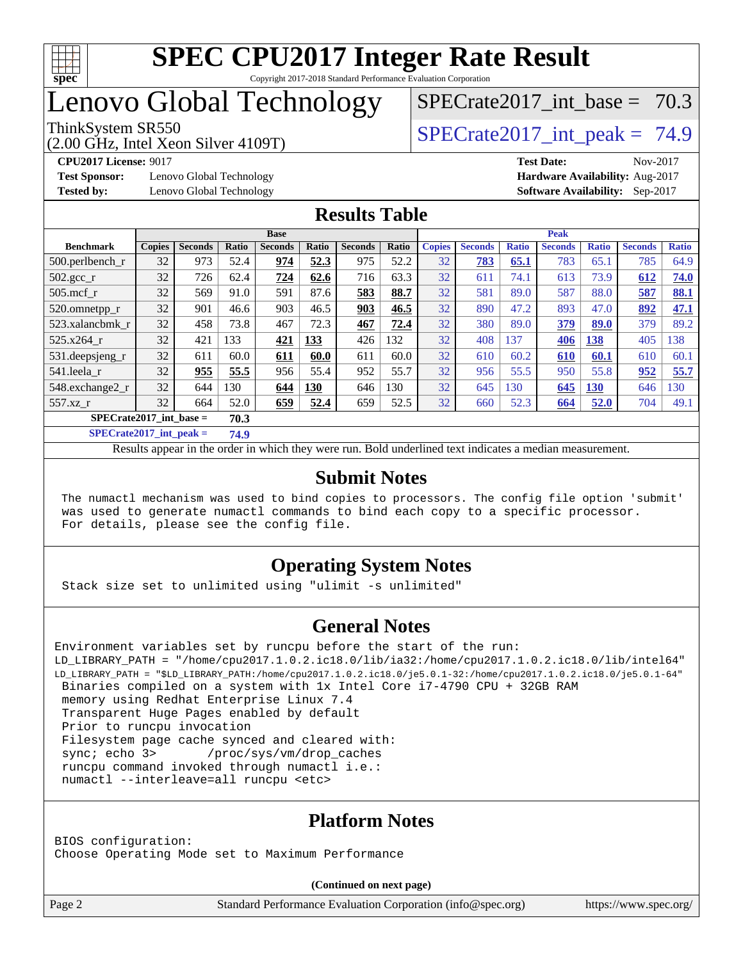

# Lenovo Global Technology

(2.00 GHz, Intel Xeon Silver 4109T)

ThinkSystem SR550<br>  $S$ PECrate2017 int peak = 74.9

SPECrate2017 int\_base =  $70.3$ 

**[Test Sponsor:](http://www.spec.org/auto/cpu2017/Docs/result-fields.html#TestSponsor)** Lenovo Global Technology **[Hardware Availability:](http://www.spec.org/auto/cpu2017/Docs/result-fields.html#HardwareAvailability)** Aug-2017

**[CPU2017 License:](http://www.spec.org/auto/cpu2017/Docs/result-fields.html#CPU2017License)** 9017 **[Test Date:](http://www.spec.org/auto/cpu2017/Docs/result-fields.html#TestDate)** Nov-2017 **[Tested by:](http://www.spec.org/auto/cpu2017/Docs/result-fields.html#Testedby)** Lenovo Global Technology **[Software Availability:](http://www.spec.org/auto/cpu2017/Docs/result-fields.html#SoftwareAvailability)** Sep-2017

## **[Results Table](http://www.spec.org/auto/cpu2017/Docs/result-fields.html#ResultsTable)**

|                                   | <b>Base</b>   |                |       |                |            | <b>Peak</b>    |       |               |                |              |                |              |                |              |
|-----------------------------------|---------------|----------------|-------|----------------|------------|----------------|-------|---------------|----------------|--------------|----------------|--------------|----------------|--------------|
| <b>Benchmark</b>                  | <b>Copies</b> | <b>Seconds</b> | Ratio | <b>Seconds</b> | Ratio      | <b>Seconds</b> | Ratio | <b>Copies</b> | <b>Seconds</b> | <b>Ratio</b> | <b>Seconds</b> | <b>Ratio</b> | <b>Seconds</b> | <b>Ratio</b> |
| $500$ .perlbench r                | 32            | 973            | 52.4  | 974            | 52.3       | 975            | 52.2  | 32            | 783            | 65.1         | 783            | 65.1         | 785            | 64.9         |
| 502.gcc_r                         | 32            | 726            | 62.4  | 724            | 62.6       | 716            | 63.3  | 32            | 611            | 74.1         | 613            | 73.9         | 612            | 74.0         |
| $505$ .mcf r                      | 32            | 569            | 91.0  | 591            | 87.6       | 583            | 88.7  | 32            | 581            | 89.0         | 587            | 88.0         | 587            | 88.1         |
| 520.omnetpp_r                     | 32            | 901            | 46.6  | 903            | 46.5       | 903            | 46.5  | 32            | 890            | 47.2         | 893            | 47.0         | 892            | 47.1         |
| 523.xalancbmk r                   | 32            | 458            | 73.8  | 467            | 72.3       | 467            | 72.4  | 32            | 380            | 89.0         | 379            | 89.0         | 379            | 89.2         |
| 525.x264 r                        | 32            | 421            | 133   | 421            | 133        | 426            | 132   | 32            | 408            | 137          | 406            | 138          | 405            | 138          |
| 531.deepsjeng_r                   | 32            | 611            | 60.0  | 611            | 60.0       | 611            | 60.0  | 32            | 610            | 60.2         | 610            | 60.1         | 610            | 60.1         |
| 541.leela r                       | 32            | 955            | 55.5  | 956            | 55.4       | 952            | 55.7  | 32            | 956            | 55.5         | 950            | 55.8         | 952            | 55.7         |
| 548.exchange2_r                   | 32            | 644            | 130   | 644            | <b>130</b> | 646            | 130   | 32            | 645            | 130          | 645            | <b>130</b>   | 646            | 130          |
| 557.xz r                          | 32            | 664            | 52.0  | 659            | 52.4       | 659            | 52.5  | 32            | 660            | 52.3         | 664            | 52.0         | 704            | 49.1         |
| $SPECrate2017$ int base =<br>70.3 |               |                |       |                |            |                |       |               |                |              |                |              |                |              |

**[SPECrate2017\\_int\\_peak =](http://www.spec.org/auto/cpu2017/Docs/result-fields.html#SPECrate2017intpeak) 74.9**

Results appear in the [order in which they were run.](http://www.spec.org/auto/cpu2017/Docs/result-fields.html#RunOrder) Bold underlined text [indicates a median measurement.](http://www.spec.org/auto/cpu2017/Docs/result-fields.html#Median)

#### **[Submit Notes](http://www.spec.org/auto/cpu2017/Docs/result-fields.html#SubmitNotes)**

 The numactl mechanism was used to bind copies to processors. The config file option 'submit' was used to generate numactl commands to bind each copy to a specific processor. For details, please see the config file.

## **[Operating System Notes](http://www.spec.org/auto/cpu2017/Docs/result-fields.html#OperatingSystemNotes)**

Stack size set to unlimited using "ulimit -s unlimited"

## **[General Notes](http://www.spec.org/auto/cpu2017/Docs/result-fields.html#GeneralNotes)**

```
Environment variables set by runcpu before the start of the run:
LD_LIBRARY_PATH = "/home/cpu2017.1.0.2.ic18.0/lib/ia32:/home/cpu2017.1.0.2.ic18.0/lib/intel64"
LD_LIBRARY_PATH = "$LD_LIBRARY_PATH:/home/cpu2017.1.0.2.ic18.0/je5.0.1-32:/home/cpu2017.1.0.2.ic18.0/je5.0.1-64"
 Binaries compiled on a system with 1x Intel Core i7-4790 CPU + 32GB RAM
 memory using Redhat Enterprise Linux 7.4
 Transparent Huge Pages enabled by default
  Prior to runcpu invocation
 Filesystem page cache synced and cleared with:
 sync; echo 3> /proc/sys/vm/drop_caches
  runcpu command invoked through numactl i.e.:
 numactl --interleave=all runcpu <etc>
```
## **[Platform Notes](http://www.spec.org/auto/cpu2017/Docs/result-fields.html#PlatformNotes)**

BIOS configuration: Choose Operating Mode set to Maximum Performance

**(Continued on next page)**

Page 2 Standard Performance Evaluation Corporation [\(info@spec.org\)](mailto:info@spec.org) <https://www.spec.org/>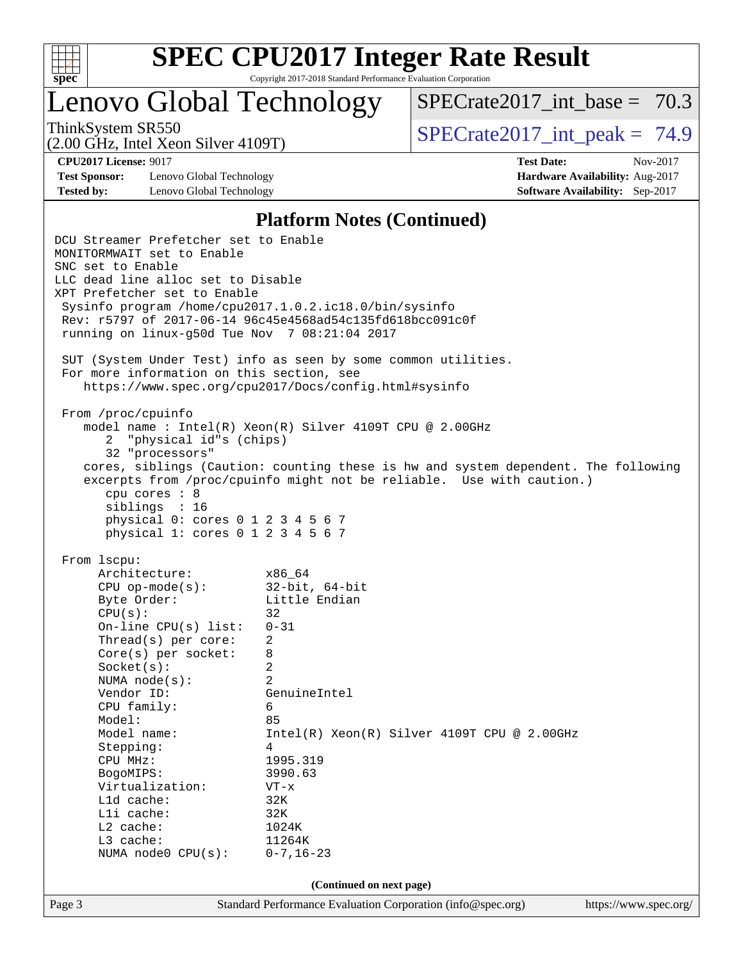

Lenovo Global Technology

SPECrate2017 int\_base =  $70.3$ 

(2.00 GHz, Intel Xeon Silver 4109T)

ThinkSystem SR550  $SPIz$  Interval Section 4100T)  $SPECTa te2017$  int peak = 74.9

**[Test Sponsor:](http://www.spec.org/auto/cpu2017/Docs/result-fields.html#TestSponsor)** Lenovo Global Technology **[Hardware Availability:](http://www.spec.org/auto/cpu2017/Docs/result-fields.html#HardwareAvailability)** Aug-2017 **[Tested by:](http://www.spec.org/auto/cpu2017/Docs/result-fields.html#Testedby)** Lenovo Global Technology **[Software Availability:](http://www.spec.org/auto/cpu2017/Docs/result-fields.html#SoftwareAvailability)** Sep-2017

**[CPU2017 License:](http://www.spec.org/auto/cpu2017/Docs/result-fields.html#CPU2017License)** 9017 **[Test Date:](http://www.spec.org/auto/cpu2017/Docs/result-fields.html#TestDate)** Nov-2017

### **[Platform Notes \(Continued\)](http://www.spec.org/auto/cpu2017/Docs/result-fields.html#PlatformNotes)**

Page 3 Standard Performance Evaluation Corporation [\(info@spec.org\)](mailto:info@spec.org) <https://www.spec.org/> DCU Streamer Prefetcher set to Enable MONITORMWAIT set to Enable SNC set to Enable LLC dead line alloc set to Disable XPT Prefetcher set to Enable Sysinfo program /home/cpu2017.1.0.2.ic18.0/bin/sysinfo Rev: r5797 of 2017-06-14 96c45e4568ad54c135fd618bcc091c0f running on linux-g50d Tue Nov 7 08:21:04 2017 SUT (System Under Test) info as seen by some common utilities. For more information on this section, see <https://www.spec.org/cpu2017/Docs/config.html#sysinfo> From /proc/cpuinfo model name : Intel(R) Xeon(R) Silver 4109T CPU @ 2.00GHz 2 "physical id"s (chips) 32 "processors" cores, siblings (Caution: counting these is hw and system dependent. The following excerpts from /proc/cpuinfo might not be reliable. Use with caution.) cpu cores : 8 siblings : 16 physical 0: cores 0 1 2 3 4 5 6 7 physical 1: cores 0 1 2 3 4 5 6 7 From lscpu: Architecture: x86\_64 CPU op-mode(s): 32-bit, 64-bit Byte Order: Little Endian  $CPU(s):$  32 On-line CPU(s) list: 0-31 Thread(s) per core: 2 Core(s) per socket: 8 Socket(s): 2 NUMA node(s): 2 Vendor ID: GenuineIntel CPU family: 6 Model: 85<br>Model name: 1n Intel(R) Xeon(R) Silver 4109T CPU @ 2.00GHz Stepping: 4 CPU MHz: 1995.319 BogoMIPS: 3990.63 Virtualization: VT-x L1d cache: 32K L1i cache: 32K L2 cache: 1024K L3 cache: 11264K NUMA node0 CPU(s): 0-7,16-23 **(Continued on next page)**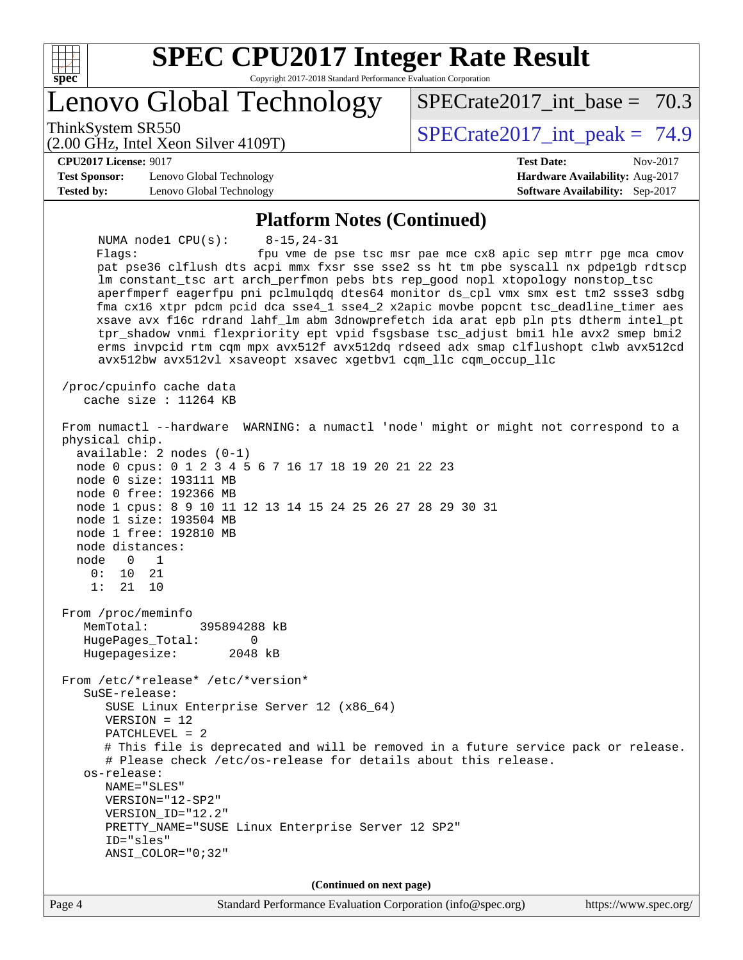

# **[SPEC CPU2017 Integer Rate Result](http://www.spec.org/auto/cpu2017/Docs/result-fields.html#SPECCPU2017IntegerRateResult)**

Copyright 2017-2018 Standard Performance Evaluation Corporation

Lenovo Global Technology

ThinkSystem SR550<br>  $S$ PECrate2017 int peak = 74.9

SPECrate2017 int\_base =  $70.3$ 

(2.00 GHz, Intel Xeon Silver 4109T)

**[CPU2017 License:](http://www.spec.org/auto/cpu2017/Docs/result-fields.html#CPU2017License)** 9017 **[Test Date:](http://www.spec.org/auto/cpu2017/Docs/result-fields.html#TestDate)** Nov-2017

**[Test Sponsor:](http://www.spec.org/auto/cpu2017/Docs/result-fields.html#TestSponsor)** Lenovo Global Technology **[Hardware Availability:](http://www.spec.org/auto/cpu2017/Docs/result-fields.html#HardwareAvailability)** Aug-2017 **[Tested by:](http://www.spec.org/auto/cpu2017/Docs/result-fields.html#Testedby)** Lenovo Global Technology **[Software Availability:](http://www.spec.org/auto/cpu2017/Docs/result-fields.html#SoftwareAvailability)** Sep-2017

#### **[Platform Notes \(Continued\)](http://www.spec.org/auto/cpu2017/Docs/result-fields.html#PlatformNotes)**

 NUMA node1 CPU(s): 8-15,24-31 Flags: fpu vme de pse tsc msr pae mce cx8 apic sep mtrr pge mca cmov pat pse36 clflush dts acpi mmx fxsr sse sse2 ss ht tm pbe syscall nx pdpe1gb rdtscp lm constant\_tsc art arch\_perfmon pebs bts rep\_good nopl xtopology nonstop\_tsc aperfmperf eagerfpu pni pclmulqdq dtes64 monitor ds\_cpl vmx smx est tm2 ssse3 sdbg fma cx16 xtpr pdcm pcid dca sse4\_1 sse4\_2 x2apic movbe popcnt tsc\_deadline\_timer aes xsave avx f16c rdrand lahf\_lm abm 3dnowprefetch ida arat epb pln pts dtherm intel\_pt tpr\_shadow vnmi flexpriority ept vpid fsgsbase tsc\_adjust bmi1 hle avx2 smep bmi2 erms invpcid rtm cqm mpx avx512f avx512dq rdseed adx smap clflushopt clwb avx512cd avx512bw avx512vl xsaveopt xsavec xgetbv1 cqm\_llc cqm\_occup\_llc /proc/cpuinfo cache data cache size : 11264 KB From numactl --hardware WARNING: a numactl 'node' might or might not correspond to a physical chip. available: 2 nodes (0-1) node 0 cpus: 0 1 2 3 4 5 6 7 16 17 18 19 20 21 22 23 node 0 size: 193111 MB node 0 free: 192366 MB node 1 cpus: 8 9 10 11 12 13 14 15 24 25 26 27 28 29 30 31 node 1 size: 193504 MB node 1 free: 192810 MB node distances: node 0 1 0: 10 21 1: 21 10 From /proc/meminfo MemTotal: 395894288 kB HugePages\_Total: 0<br>Hugepagesize: 2048 kB Hugepagesize: From /etc/\*release\* /etc/\*version\* SuSE-release: SUSE Linux Enterprise Server 12 (x86\_64) VERSION = 12 PATCHLEVEL = 2 # This file is deprecated and will be removed in a future service pack or release. # Please check /etc/os-release for details about this release. os-release: NAME="SLES" VERSION="12-SP2" VERSION\_ID="12.2" PRETTY\_NAME="SUSE Linux Enterprise Server 12 SP2" ID="sles" ANSI\_COLOR="0;32" **(Continued on next page)**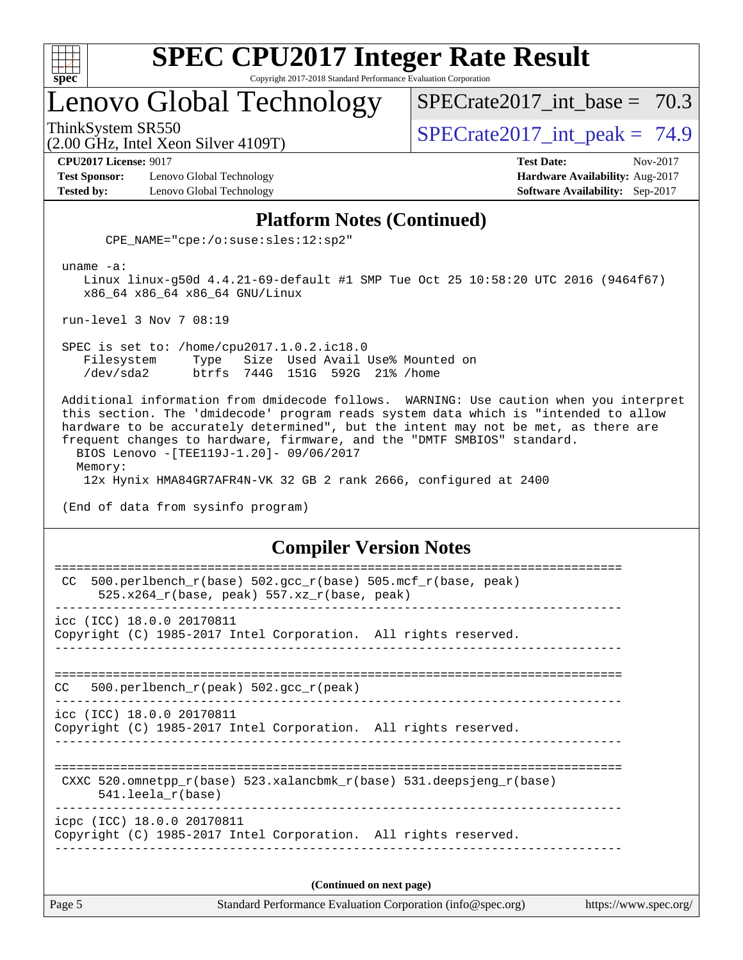

# Lenovo Global Technology

SPECrate2017 int\_base =  $70.3$ 

(2.00 GHz, Intel Xeon Silver 4109T)

ThinkSystem SR550<br>  $S$ PECrate2017 int peak = 74.9

**[CPU2017 License:](http://www.spec.org/auto/cpu2017/Docs/result-fields.html#CPU2017License)** 9017 **[Test Date:](http://www.spec.org/auto/cpu2017/Docs/result-fields.html#TestDate)** Nov-2017

**[Test Sponsor:](http://www.spec.org/auto/cpu2017/Docs/result-fields.html#TestSponsor)** Lenovo Global Technology **[Hardware Availability:](http://www.spec.org/auto/cpu2017/Docs/result-fields.html#HardwareAvailability)** Aug-2017 **[Tested by:](http://www.spec.org/auto/cpu2017/Docs/result-fields.html#Testedby)** Lenovo Global Technology **[Software Availability:](http://www.spec.org/auto/cpu2017/Docs/result-fields.html#SoftwareAvailability)** Sep-2017

## **[Platform Notes \(Continued\)](http://www.spec.org/auto/cpu2017/Docs/result-fields.html#PlatformNotes)**

CPE\_NAME="cpe:/o:suse:sles:12:sp2"

uname -a:

 Linux linux-g50d 4.4.21-69-default #1 SMP Tue Oct 25 10:58:20 UTC 2016 (9464f67) x86\_64 x86\_64 x86\_64 GNU/Linux

run-level 3 Nov 7 08:19

 SPEC is set to: /home/cpu2017.1.0.2.ic18.0 Filesystem Type Size Used Avail Use% Mounted on /dev/sda2 btrfs 744G 151G 592G 21% /home

 Additional information from dmidecode follows. WARNING: Use caution when you interpret this section. The 'dmidecode' program reads system data which is "intended to allow hardware to be accurately determined", but the intent may not be met, as there are frequent changes to hardware, firmware, and the "DMTF SMBIOS" standard. BIOS Lenovo -[TEE119J-1.20]- 09/06/2017 Memory: 12x Hynix HMA84GR7AFR4N-VK 32 GB 2 rank 2666, configured at 2400

(End of data from sysinfo program)

#### **[Compiler Version Notes](http://www.spec.org/auto/cpu2017/Docs/result-fields.html#CompilerVersionNotes)**

| Page 5 | Standard Performance Evaluation Corporation (info@spec.org)                                                    | https://www.spec.org/ |
|--------|----------------------------------------------------------------------------------------------------------------|-----------------------|
|        | (Continued on next page)                                                                                       |                       |
|        | icpc (ICC) 18.0.0 20170811<br>Copyright (C) 1985-2017 Intel Corporation. All rights reserved.                  |                       |
|        | CXXC 520.omnetpp $r(base)$ 523.xalancbmk $r(base)$ 531.deepsjeng $r(base)$<br>$541.$ leela r(base)             |                       |
|        | icc (ICC) 18.0.0 20170811<br>Copyright (C) 1985-2017 Intel Corporation. All rights reserved.                   |                       |
| CC.    | 500.perlbench $r(\text{peak})$ 502.gcc $r(\text{peak})$                                                        |                       |
|        | icc (ICC) 18.0.0 20170811<br>Copyright (C) 1985-2017 Intel Corporation. All rights reserved.                   |                       |
| CC.    | 500.perlbench_r(base) 502.gcc_r(base) 505.mcf_r(base, peak)<br>525.x264 $r(base, peak)$ 557.xz $r(base, peak)$ |                       |
|        |                                                                                                                |                       |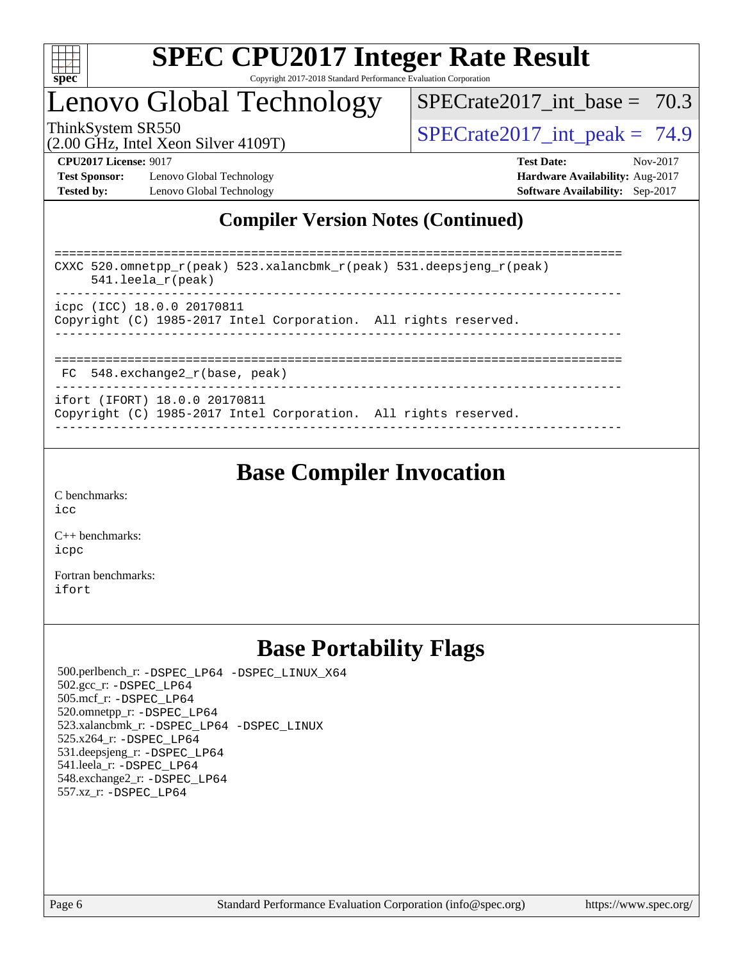

# Lenovo Global Technology

SPECrate2017 int\_base =  $70.3$ 

(2.00 GHz, Intel Xeon Silver 4109T)

ThinkSystem SR550  $SPIz$  Interval Section 4100T)  $SPECTa te2017$  int peak = 74.9

**[Test Sponsor:](http://www.spec.org/auto/cpu2017/Docs/result-fields.html#TestSponsor)** Lenovo Global Technology **[Hardware Availability:](http://www.spec.org/auto/cpu2017/Docs/result-fields.html#HardwareAvailability)** Aug-2017 **[Tested by:](http://www.spec.org/auto/cpu2017/Docs/result-fields.html#Testedby)** Lenovo Global Technology **[Software Availability:](http://www.spec.org/auto/cpu2017/Docs/result-fields.html#SoftwareAvailability)** Sep-2017

**[CPU2017 License:](http://www.spec.org/auto/cpu2017/Docs/result-fields.html#CPU2017License)** 9017 **[Test Date:](http://www.spec.org/auto/cpu2017/Docs/result-fields.html#TestDate)** Nov-2017

## **[Compiler Version Notes \(Continued\)](http://www.spec.org/auto/cpu2017/Docs/result-fields.html#CompilerVersionNotes)**

============================================================================== CXXC 520.omnetpp\_r(peak) 523.xalancbmk\_r(peak) 531.deepsjeng\_r(peak) 541.leela\_r(peak) ----------------------------------------------------------------------------- icpc (ICC) 18.0.0 20170811 Copyright (C) 1985-2017 Intel Corporation. All rights reserved. ------------------------------------------------------------------------------ ============================================================================== FC 548.exchange2\_r(base, peak) ----------------------------------------------------------------------------- ifort (IFORT) 18.0.0 20170811

Copyright (C) 1985-2017 Intel Corporation. All rights reserved. ------------------------------------------------------------------------------

## **[Base Compiler Invocation](http://www.spec.org/auto/cpu2017/Docs/result-fields.html#BaseCompilerInvocation)**

[C benchmarks](http://www.spec.org/auto/cpu2017/Docs/result-fields.html#Cbenchmarks): [icc](http://www.spec.org/cpu2017/results/res2017q4/cpu2017-20171113-00549.flags.html#user_CCbase_intel_icc_18.0_66fc1ee009f7361af1fbd72ca7dcefbb700085f36577c54f309893dd4ec40d12360134090235512931783d35fd58c0460139e722d5067c5574d8eaf2b3e37e92)

[C++ benchmarks:](http://www.spec.org/auto/cpu2017/Docs/result-fields.html#CXXbenchmarks) [icpc](http://www.spec.org/cpu2017/results/res2017q4/cpu2017-20171113-00549.flags.html#user_CXXbase_intel_icpc_18.0_c510b6838c7f56d33e37e94d029a35b4a7bccf4766a728ee175e80a419847e808290a9b78be685c44ab727ea267ec2f070ec5dc83b407c0218cded6866a35d07)

[Fortran benchmarks](http://www.spec.org/auto/cpu2017/Docs/result-fields.html#Fortranbenchmarks): [ifort](http://www.spec.org/cpu2017/results/res2017q4/cpu2017-20171113-00549.flags.html#user_FCbase_intel_ifort_18.0_8111460550e3ca792625aed983ce982f94888b8b503583aa7ba2b8303487b4d8a21a13e7191a45c5fd58ff318f48f9492884d4413fa793fd88dd292cad7027ca)

## **[Base Portability Flags](http://www.spec.org/auto/cpu2017/Docs/result-fields.html#BasePortabilityFlags)**

 500.perlbench\_r: [-DSPEC\\_LP64](http://www.spec.org/cpu2017/results/res2017q4/cpu2017-20171113-00549.flags.html#b500.perlbench_r_basePORTABILITY_DSPEC_LP64) [-DSPEC\\_LINUX\\_X64](http://www.spec.org/cpu2017/results/res2017q4/cpu2017-20171113-00549.flags.html#b500.perlbench_r_baseCPORTABILITY_DSPEC_LINUX_X64) 502.gcc\_r: [-DSPEC\\_LP64](http://www.spec.org/cpu2017/results/res2017q4/cpu2017-20171113-00549.flags.html#suite_basePORTABILITY502_gcc_r_DSPEC_LP64) 505.mcf\_r: [-DSPEC\\_LP64](http://www.spec.org/cpu2017/results/res2017q4/cpu2017-20171113-00549.flags.html#suite_basePORTABILITY505_mcf_r_DSPEC_LP64) 520.omnetpp\_r: [-DSPEC\\_LP64](http://www.spec.org/cpu2017/results/res2017q4/cpu2017-20171113-00549.flags.html#suite_basePORTABILITY520_omnetpp_r_DSPEC_LP64) 523.xalancbmk\_r: [-DSPEC\\_LP64](http://www.spec.org/cpu2017/results/res2017q4/cpu2017-20171113-00549.flags.html#suite_basePORTABILITY523_xalancbmk_r_DSPEC_LP64) [-DSPEC\\_LINUX](http://www.spec.org/cpu2017/results/res2017q4/cpu2017-20171113-00549.flags.html#b523.xalancbmk_r_baseCXXPORTABILITY_DSPEC_LINUX) 525.x264\_r: [-DSPEC\\_LP64](http://www.spec.org/cpu2017/results/res2017q4/cpu2017-20171113-00549.flags.html#suite_basePORTABILITY525_x264_r_DSPEC_LP64) 531.deepsjeng\_r: [-DSPEC\\_LP64](http://www.spec.org/cpu2017/results/res2017q4/cpu2017-20171113-00549.flags.html#suite_basePORTABILITY531_deepsjeng_r_DSPEC_LP64) 541.leela\_r: [-DSPEC\\_LP64](http://www.spec.org/cpu2017/results/res2017q4/cpu2017-20171113-00549.flags.html#suite_basePORTABILITY541_leela_r_DSPEC_LP64) 548.exchange2\_r: [-DSPEC\\_LP64](http://www.spec.org/cpu2017/results/res2017q4/cpu2017-20171113-00549.flags.html#suite_basePORTABILITY548_exchange2_r_DSPEC_LP64) 557.xz\_r: [-DSPEC\\_LP64](http://www.spec.org/cpu2017/results/res2017q4/cpu2017-20171113-00549.flags.html#suite_basePORTABILITY557_xz_r_DSPEC_LP64)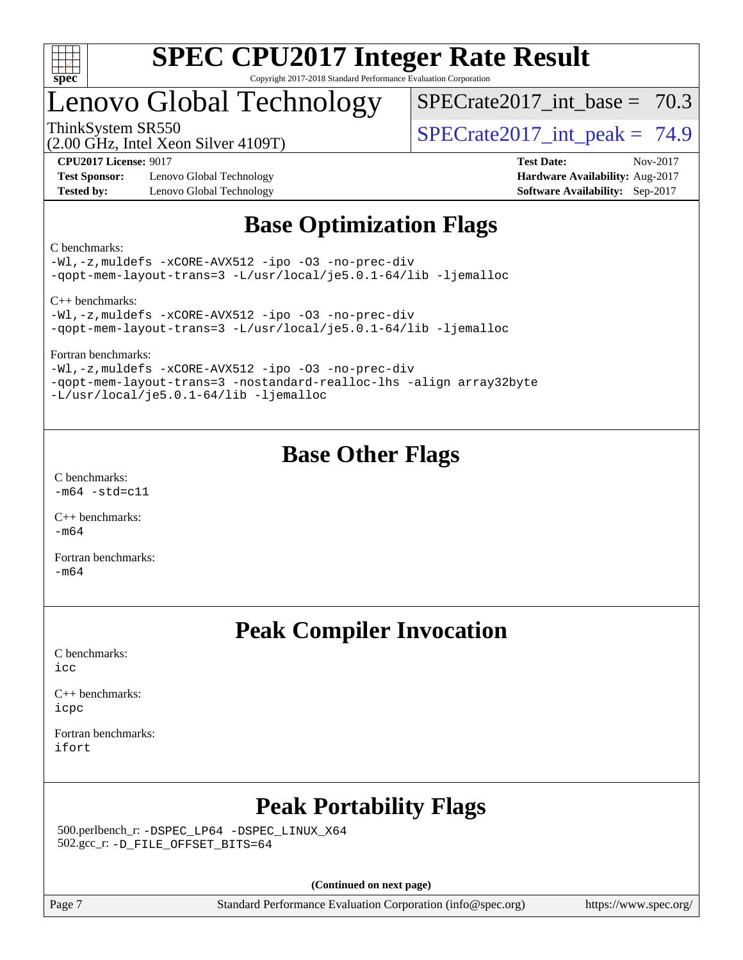

# Lenovo Global Technology

SPECrate2017 int\_base =  $70.3$ 

(2.00 GHz, Intel Xeon Silver 4109T)

ThinkSystem SR550<br>  $S$ PECrate2017 int peak = 74.9

**[Test Sponsor:](http://www.spec.org/auto/cpu2017/Docs/result-fields.html#TestSponsor)** Lenovo Global Technology **[Hardware Availability:](http://www.spec.org/auto/cpu2017/Docs/result-fields.html#HardwareAvailability)** Aug-2017 **[Tested by:](http://www.spec.org/auto/cpu2017/Docs/result-fields.html#Testedby)** Lenovo Global Technology **[Software Availability:](http://www.spec.org/auto/cpu2017/Docs/result-fields.html#SoftwareAvailability)** Sep-2017

**[CPU2017 License:](http://www.spec.org/auto/cpu2017/Docs/result-fields.html#CPU2017License)** 9017 **[Test Date:](http://www.spec.org/auto/cpu2017/Docs/result-fields.html#TestDate)** Nov-2017

## **[Base Optimization Flags](http://www.spec.org/auto/cpu2017/Docs/result-fields.html#BaseOptimizationFlags)**

[C benchmarks](http://www.spec.org/auto/cpu2017/Docs/result-fields.html#Cbenchmarks):

[-Wl,-z,muldefs](http://www.spec.org/cpu2017/results/res2017q4/cpu2017-20171113-00549.flags.html#user_CCbase_link_force_multiple1_b4cbdb97b34bdee9ceefcfe54f4c8ea74255f0b02a4b23e853cdb0e18eb4525ac79b5a88067c842dd0ee6996c24547a27a4b99331201badda8798ef8a743f577) [-xCORE-AVX512](http://www.spec.org/cpu2017/results/res2017q4/cpu2017-20171113-00549.flags.html#user_CCbase_f-xCORE-AVX512) [-ipo](http://www.spec.org/cpu2017/results/res2017q4/cpu2017-20171113-00549.flags.html#user_CCbase_f-ipo) [-O3](http://www.spec.org/cpu2017/results/res2017q4/cpu2017-20171113-00549.flags.html#user_CCbase_f-O3) [-no-prec-div](http://www.spec.org/cpu2017/results/res2017q4/cpu2017-20171113-00549.flags.html#user_CCbase_f-no-prec-div) [-qopt-mem-layout-trans=3](http://www.spec.org/cpu2017/results/res2017q4/cpu2017-20171113-00549.flags.html#user_CCbase_f-qopt-mem-layout-trans_de80db37974c74b1f0e20d883f0b675c88c3b01e9d123adea9b28688d64333345fb62bc4a798493513fdb68f60282f9a726aa07f478b2f7113531aecce732043) [-L/usr/local/je5.0.1-64/lib](http://www.spec.org/cpu2017/results/res2017q4/cpu2017-20171113-00549.flags.html#user_CCbase_jemalloc_link_path64_4b10a636b7bce113509b17f3bd0d6226c5fb2346b9178c2d0232c14f04ab830f976640479e5c33dc2bcbbdad86ecfb6634cbbd4418746f06f368b512fced5394) [-ljemalloc](http://www.spec.org/cpu2017/results/res2017q4/cpu2017-20171113-00549.flags.html#user_CCbase_jemalloc_link_lib_d1249b907c500fa1c0672f44f562e3d0f79738ae9e3c4a9c376d49f265a04b9c99b167ecedbf6711b3085be911c67ff61f150a17b3472be731631ba4d0471706)

[C++ benchmarks](http://www.spec.org/auto/cpu2017/Docs/result-fields.html#CXXbenchmarks):

[-Wl,-z,muldefs](http://www.spec.org/cpu2017/results/res2017q4/cpu2017-20171113-00549.flags.html#user_CXXbase_link_force_multiple1_b4cbdb97b34bdee9ceefcfe54f4c8ea74255f0b02a4b23e853cdb0e18eb4525ac79b5a88067c842dd0ee6996c24547a27a4b99331201badda8798ef8a743f577) [-xCORE-AVX512](http://www.spec.org/cpu2017/results/res2017q4/cpu2017-20171113-00549.flags.html#user_CXXbase_f-xCORE-AVX512) [-ipo](http://www.spec.org/cpu2017/results/res2017q4/cpu2017-20171113-00549.flags.html#user_CXXbase_f-ipo) [-O3](http://www.spec.org/cpu2017/results/res2017q4/cpu2017-20171113-00549.flags.html#user_CXXbase_f-O3) [-no-prec-div](http://www.spec.org/cpu2017/results/res2017q4/cpu2017-20171113-00549.flags.html#user_CXXbase_f-no-prec-div) [-qopt-mem-layout-trans=3](http://www.spec.org/cpu2017/results/res2017q4/cpu2017-20171113-00549.flags.html#user_CXXbase_f-qopt-mem-layout-trans_de80db37974c74b1f0e20d883f0b675c88c3b01e9d123adea9b28688d64333345fb62bc4a798493513fdb68f60282f9a726aa07f478b2f7113531aecce732043) [-L/usr/local/je5.0.1-64/lib](http://www.spec.org/cpu2017/results/res2017q4/cpu2017-20171113-00549.flags.html#user_CXXbase_jemalloc_link_path64_4b10a636b7bce113509b17f3bd0d6226c5fb2346b9178c2d0232c14f04ab830f976640479e5c33dc2bcbbdad86ecfb6634cbbd4418746f06f368b512fced5394) [-ljemalloc](http://www.spec.org/cpu2017/results/res2017q4/cpu2017-20171113-00549.flags.html#user_CXXbase_jemalloc_link_lib_d1249b907c500fa1c0672f44f562e3d0f79738ae9e3c4a9c376d49f265a04b9c99b167ecedbf6711b3085be911c67ff61f150a17b3472be731631ba4d0471706)

[Fortran benchmarks:](http://www.spec.org/auto/cpu2017/Docs/result-fields.html#Fortranbenchmarks)

[-Wl,-z,muldefs](http://www.spec.org/cpu2017/results/res2017q4/cpu2017-20171113-00549.flags.html#user_FCbase_link_force_multiple1_b4cbdb97b34bdee9ceefcfe54f4c8ea74255f0b02a4b23e853cdb0e18eb4525ac79b5a88067c842dd0ee6996c24547a27a4b99331201badda8798ef8a743f577) [-xCORE-AVX512](http://www.spec.org/cpu2017/results/res2017q4/cpu2017-20171113-00549.flags.html#user_FCbase_f-xCORE-AVX512) [-ipo](http://www.spec.org/cpu2017/results/res2017q4/cpu2017-20171113-00549.flags.html#user_FCbase_f-ipo) [-O3](http://www.spec.org/cpu2017/results/res2017q4/cpu2017-20171113-00549.flags.html#user_FCbase_f-O3) [-no-prec-div](http://www.spec.org/cpu2017/results/res2017q4/cpu2017-20171113-00549.flags.html#user_FCbase_f-no-prec-div) [-qopt-mem-layout-trans=3](http://www.spec.org/cpu2017/results/res2017q4/cpu2017-20171113-00549.flags.html#user_FCbase_f-qopt-mem-layout-trans_de80db37974c74b1f0e20d883f0b675c88c3b01e9d123adea9b28688d64333345fb62bc4a798493513fdb68f60282f9a726aa07f478b2f7113531aecce732043) [-nostandard-realloc-lhs](http://www.spec.org/cpu2017/results/res2017q4/cpu2017-20171113-00549.flags.html#user_FCbase_f_2003_std_realloc_82b4557e90729c0f113870c07e44d33d6f5a304b4f63d4c15d2d0f1fab99f5daaed73bdb9275d9ae411527f28b936061aa8b9c8f2d63842963b95c9dd6426b8a) [-align array32byte](http://www.spec.org/cpu2017/results/res2017q4/cpu2017-20171113-00549.flags.html#user_FCbase_align_array32byte_b982fe038af199962ba9a80c053b8342c548c85b40b8e86eb3cc33dee0d7986a4af373ac2d51c3f7cf710a18d62fdce2948f201cd044323541f22fc0fffc51b6) [-L/usr/local/je5.0.1-64/lib](http://www.spec.org/cpu2017/results/res2017q4/cpu2017-20171113-00549.flags.html#user_FCbase_jemalloc_link_path64_4b10a636b7bce113509b17f3bd0d6226c5fb2346b9178c2d0232c14f04ab830f976640479e5c33dc2bcbbdad86ecfb6634cbbd4418746f06f368b512fced5394) [-ljemalloc](http://www.spec.org/cpu2017/results/res2017q4/cpu2017-20171113-00549.flags.html#user_FCbase_jemalloc_link_lib_d1249b907c500fa1c0672f44f562e3d0f79738ae9e3c4a9c376d49f265a04b9c99b167ecedbf6711b3085be911c67ff61f150a17b3472be731631ba4d0471706)

## **[Base Other Flags](http://www.spec.org/auto/cpu2017/Docs/result-fields.html#BaseOtherFlags)**

[C benchmarks](http://www.spec.org/auto/cpu2017/Docs/result-fields.html#Cbenchmarks):  $-m64 - std= c11$  $-m64 - std= c11$ 

[C++ benchmarks:](http://www.spec.org/auto/cpu2017/Docs/result-fields.html#CXXbenchmarks) [-m64](http://www.spec.org/cpu2017/results/res2017q4/cpu2017-20171113-00549.flags.html#user_CXXbase_intel_intel64_18.0_af43caccfc8ded86e7699f2159af6efc7655f51387b94da716254467f3c01020a5059329e2569e4053f409e7c9202a7efc638f7a6d1ffb3f52dea4a3e31d82ab)

[Fortran benchmarks](http://www.spec.org/auto/cpu2017/Docs/result-fields.html#Fortranbenchmarks): [-m64](http://www.spec.org/cpu2017/results/res2017q4/cpu2017-20171113-00549.flags.html#user_FCbase_intel_intel64_18.0_af43caccfc8ded86e7699f2159af6efc7655f51387b94da716254467f3c01020a5059329e2569e4053f409e7c9202a7efc638f7a6d1ffb3f52dea4a3e31d82ab)

## **[Peak Compiler Invocation](http://www.spec.org/auto/cpu2017/Docs/result-fields.html#PeakCompilerInvocation)**

[C benchmarks](http://www.spec.org/auto/cpu2017/Docs/result-fields.html#Cbenchmarks): [icc](http://www.spec.org/cpu2017/results/res2017q4/cpu2017-20171113-00549.flags.html#user_CCpeak_intel_icc_18.0_66fc1ee009f7361af1fbd72ca7dcefbb700085f36577c54f309893dd4ec40d12360134090235512931783d35fd58c0460139e722d5067c5574d8eaf2b3e37e92)

[C++ benchmarks:](http://www.spec.org/auto/cpu2017/Docs/result-fields.html#CXXbenchmarks) [icpc](http://www.spec.org/cpu2017/results/res2017q4/cpu2017-20171113-00549.flags.html#user_CXXpeak_intel_icpc_18.0_c510b6838c7f56d33e37e94d029a35b4a7bccf4766a728ee175e80a419847e808290a9b78be685c44ab727ea267ec2f070ec5dc83b407c0218cded6866a35d07)

[Fortran benchmarks](http://www.spec.org/auto/cpu2017/Docs/result-fields.html#Fortranbenchmarks): [ifort](http://www.spec.org/cpu2017/results/res2017q4/cpu2017-20171113-00549.flags.html#user_FCpeak_intel_ifort_18.0_8111460550e3ca792625aed983ce982f94888b8b503583aa7ba2b8303487b4d8a21a13e7191a45c5fd58ff318f48f9492884d4413fa793fd88dd292cad7027ca)

# **[Peak Portability Flags](http://www.spec.org/auto/cpu2017/Docs/result-fields.html#PeakPortabilityFlags)**

 500.perlbench\_r: [-DSPEC\\_LP64](http://www.spec.org/cpu2017/results/res2017q4/cpu2017-20171113-00549.flags.html#b500.perlbench_r_peakPORTABILITY_DSPEC_LP64) [-DSPEC\\_LINUX\\_X64](http://www.spec.org/cpu2017/results/res2017q4/cpu2017-20171113-00549.flags.html#b500.perlbench_r_peakCPORTABILITY_DSPEC_LINUX_X64) 502.gcc\_r: [-D\\_FILE\\_OFFSET\\_BITS=64](http://www.spec.org/cpu2017/results/res2017q4/cpu2017-20171113-00549.flags.html#user_peakPORTABILITY502_gcc_r_file_offset_bits_64_5ae949a99b284ddf4e95728d47cb0843d81b2eb0e18bdfe74bbf0f61d0b064f4bda2f10ea5eb90e1dcab0e84dbc592acfc5018bc955c18609f94ddb8d550002c)

**(Continued on next page)**

Page 7 Standard Performance Evaluation Corporation [\(info@spec.org\)](mailto:info@spec.org) <https://www.spec.org/>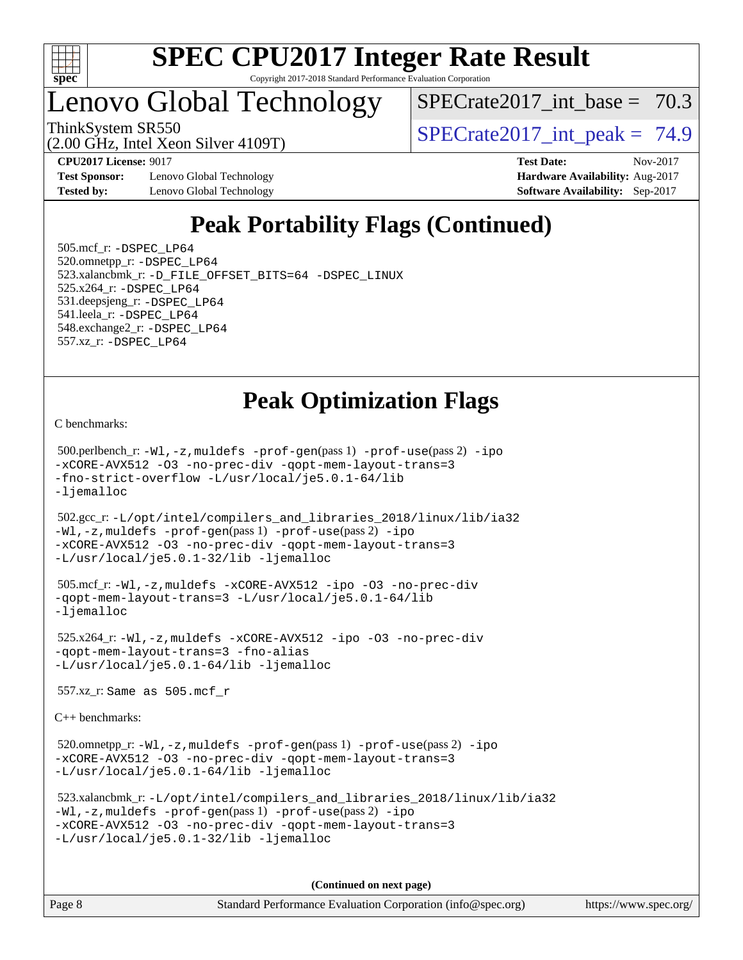

# Lenovo Global Technology

SPECrate2017 int\_base =  $70.3$ 

(2.00 GHz, Intel Xeon Silver 4109T)

ThinkSystem SR550  $SPECrate2017$  int peak = 74.9

**[Test Sponsor:](http://www.spec.org/auto/cpu2017/Docs/result-fields.html#TestSponsor)** Lenovo Global Technology **[Hardware Availability:](http://www.spec.org/auto/cpu2017/Docs/result-fields.html#HardwareAvailability)** Aug-2017 **[Tested by:](http://www.spec.org/auto/cpu2017/Docs/result-fields.html#Testedby)** Lenovo Global Technology **[Software Availability:](http://www.spec.org/auto/cpu2017/Docs/result-fields.html#SoftwareAvailability)** Sep-2017

**[CPU2017 License:](http://www.spec.org/auto/cpu2017/Docs/result-fields.html#CPU2017License)** 9017 **[Test Date:](http://www.spec.org/auto/cpu2017/Docs/result-fields.html#TestDate)** Nov-2017

# **[Peak Portability Flags \(Continued\)](http://www.spec.org/auto/cpu2017/Docs/result-fields.html#PeakPortabilityFlags)**

 505.mcf\_r: [-DSPEC\\_LP64](http://www.spec.org/cpu2017/results/res2017q4/cpu2017-20171113-00549.flags.html#suite_peakPORTABILITY505_mcf_r_DSPEC_LP64) 520.omnetpp\_r: [-DSPEC\\_LP64](http://www.spec.org/cpu2017/results/res2017q4/cpu2017-20171113-00549.flags.html#suite_peakPORTABILITY520_omnetpp_r_DSPEC_LP64) 523.xalancbmk\_r: [-D\\_FILE\\_OFFSET\\_BITS=64](http://www.spec.org/cpu2017/results/res2017q4/cpu2017-20171113-00549.flags.html#user_peakPORTABILITY523_xalancbmk_r_file_offset_bits_64_5ae949a99b284ddf4e95728d47cb0843d81b2eb0e18bdfe74bbf0f61d0b064f4bda2f10ea5eb90e1dcab0e84dbc592acfc5018bc955c18609f94ddb8d550002c) [-DSPEC\\_LINUX](http://www.spec.org/cpu2017/results/res2017q4/cpu2017-20171113-00549.flags.html#b523.xalancbmk_r_peakCXXPORTABILITY_DSPEC_LINUX) 525.x264\_r: [-DSPEC\\_LP64](http://www.spec.org/cpu2017/results/res2017q4/cpu2017-20171113-00549.flags.html#suite_peakPORTABILITY525_x264_r_DSPEC_LP64) 531.deepsjeng\_r: [-DSPEC\\_LP64](http://www.spec.org/cpu2017/results/res2017q4/cpu2017-20171113-00549.flags.html#suite_peakPORTABILITY531_deepsjeng_r_DSPEC_LP64) 541.leela\_r: [-DSPEC\\_LP64](http://www.spec.org/cpu2017/results/res2017q4/cpu2017-20171113-00549.flags.html#suite_peakPORTABILITY541_leela_r_DSPEC_LP64) 548.exchange2\_r: [-DSPEC\\_LP64](http://www.spec.org/cpu2017/results/res2017q4/cpu2017-20171113-00549.flags.html#suite_peakPORTABILITY548_exchange2_r_DSPEC_LP64) 557.xz\_r: [-DSPEC\\_LP64](http://www.spec.org/cpu2017/results/res2017q4/cpu2017-20171113-00549.flags.html#suite_peakPORTABILITY557_xz_r_DSPEC_LP64)

## **[Peak Optimization Flags](http://www.spec.org/auto/cpu2017/Docs/result-fields.html#PeakOptimizationFlags)**

[C benchmarks](http://www.spec.org/auto/cpu2017/Docs/result-fields.html#Cbenchmarks):

 500.perlbench\_r: [-Wl,-z,muldefs](http://www.spec.org/cpu2017/results/res2017q4/cpu2017-20171113-00549.flags.html#user_peakEXTRA_LDFLAGS500_perlbench_r_link_force_multiple1_b4cbdb97b34bdee9ceefcfe54f4c8ea74255f0b02a4b23e853cdb0e18eb4525ac79b5a88067c842dd0ee6996c24547a27a4b99331201badda8798ef8a743f577) [-prof-gen](http://www.spec.org/cpu2017/results/res2017q4/cpu2017-20171113-00549.flags.html#user_peakPASS1_CFLAGSPASS1_LDFLAGS500_perlbench_r_prof_gen_5aa4926d6013ddb2a31985c654b3eb18169fc0c6952a63635c234f711e6e63dd76e94ad52365559451ec499a2cdb89e4dc58ba4c67ef54ca681ffbe1461d6b36)(pass 1) [-prof-use](http://www.spec.org/cpu2017/results/res2017q4/cpu2017-20171113-00549.flags.html#user_peakPASS2_CFLAGSPASS2_LDFLAGS500_perlbench_r_prof_use_1a21ceae95f36a2b53c25747139a6c16ca95bd9def2a207b4f0849963b97e94f5260e30a0c64f4bb623698870e679ca08317ef8150905d41bd88c6f78df73f19)(pass 2) [-ipo](http://www.spec.org/cpu2017/results/res2017q4/cpu2017-20171113-00549.flags.html#user_peakPASS1_COPTIMIZEPASS2_COPTIMIZE500_perlbench_r_f-ipo) [-xCORE-AVX512](http://www.spec.org/cpu2017/results/res2017q4/cpu2017-20171113-00549.flags.html#user_peakPASS2_COPTIMIZE500_perlbench_r_f-xCORE-AVX512) [-O3](http://www.spec.org/cpu2017/results/res2017q4/cpu2017-20171113-00549.flags.html#user_peakPASS1_COPTIMIZEPASS2_COPTIMIZE500_perlbench_r_f-O3) [-no-prec-div](http://www.spec.org/cpu2017/results/res2017q4/cpu2017-20171113-00549.flags.html#user_peakPASS1_COPTIMIZEPASS2_COPTIMIZE500_perlbench_r_f-no-prec-div) [-qopt-mem-layout-trans=3](http://www.spec.org/cpu2017/results/res2017q4/cpu2017-20171113-00549.flags.html#user_peakPASS1_COPTIMIZEPASS2_COPTIMIZE500_perlbench_r_f-qopt-mem-layout-trans_de80db37974c74b1f0e20d883f0b675c88c3b01e9d123adea9b28688d64333345fb62bc4a798493513fdb68f60282f9a726aa07f478b2f7113531aecce732043) [-fno-strict-overflow](http://www.spec.org/cpu2017/results/res2017q4/cpu2017-20171113-00549.flags.html#user_peakEXTRA_OPTIMIZE500_perlbench_r_f-fno-strict-overflow) [-L/usr/local/je5.0.1-64/lib](http://www.spec.org/cpu2017/results/res2017q4/cpu2017-20171113-00549.flags.html#user_peakEXTRA_LIBS500_perlbench_r_jemalloc_link_path64_4b10a636b7bce113509b17f3bd0d6226c5fb2346b9178c2d0232c14f04ab830f976640479e5c33dc2bcbbdad86ecfb6634cbbd4418746f06f368b512fced5394) [-ljemalloc](http://www.spec.org/cpu2017/results/res2017q4/cpu2017-20171113-00549.flags.html#user_peakEXTRA_LIBS500_perlbench_r_jemalloc_link_lib_d1249b907c500fa1c0672f44f562e3d0f79738ae9e3c4a9c376d49f265a04b9c99b167ecedbf6711b3085be911c67ff61f150a17b3472be731631ba4d0471706)

 502.gcc\_r: [-L/opt/intel/compilers\\_and\\_libraries\\_2018/linux/lib/ia32](http://www.spec.org/cpu2017/results/res2017q4/cpu2017-20171113-00549.flags.html#user_peakCCLD502_gcc_r_Enable-32bit-runtime_af243bdb1d79e4c7a4f720bf8275e627de2ecd461de63307bc14cef0633fde3cd7bb2facb32dcc8be9566045fb55d40ce2b72b725f73827aa7833441b71b9343) [-Wl,-z,muldefs](http://www.spec.org/cpu2017/results/res2017q4/cpu2017-20171113-00549.flags.html#user_peakEXTRA_LDFLAGS502_gcc_r_link_force_multiple1_b4cbdb97b34bdee9ceefcfe54f4c8ea74255f0b02a4b23e853cdb0e18eb4525ac79b5a88067c842dd0ee6996c24547a27a4b99331201badda8798ef8a743f577) [-prof-gen](http://www.spec.org/cpu2017/results/res2017q4/cpu2017-20171113-00549.flags.html#user_peakPASS1_CFLAGSPASS1_LDFLAGS502_gcc_r_prof_gen_5aa4926d6013ddb2a31985c654b3eb18169fc0c6952a63635c234f711e6e63dd76e94ad52365559451ec499a2cdb89e4dc58ba4c67ef54ca681ffbe1461d6b36)(pass 1) [-prof-use](http://www.spec.org/cpu2017/results/res2017q4/cpu2017-20171113-00549.flags.html#user_peakPASS2_CFLAGSPASS2_LDFLAGS502_gcc_r_prof_use_1a21ceae95f36a2b53c25747139a6c16ca95bd9def2a207b4f0849963b97e94f5260e30a0c64f4bb623698870e679ca08317ef8150905d41bd88c6f78df73f19)(pass 2) [-ipo](http://www.spec.org/cpu2017/results/res2017q4/cpu2017-20171113-00549.flags.html#user_peakPASS1_COPTIMIZEPASS2_COPTIMIZE502_gcc_r_f-ipo) [-xCORE-AVX512](http://www.spec.org/cpu2017/results/res2017q4/cpu2017-20171113-00549.flags.html#user_peakPASS2_COPTIMIZE502_gcc_r_f-xCORE-AVX512) [-O3](http://www.spec.org/cpu2017/results/res2017q4/cpu2017-20171113-00549.flags.html#user_peakPASS1_COPTIMIZEPASS2_COPTIMIZE502_gcc_r_f-O3) [-no-prec-div](http://www.spec.org/cpu2017/results/res2017q4/cpu2017-20171113-00549.flags.html#user_peakPASS1_COPTIMIZEPASS2_COPTIMIZE502_gcc_r_f-no-prec-div) [-qopt-mem-layout-trans=3](http://www.spec.org/cpu2017/results/res2017q4/cpu2017-20171113-00549.flags.html#user_peakPASS1_COPTIMIZEPASS2_COPTIMIZE502_gcc_r_f-qopt-mem-layout-trans_de80db37974c74b1f0e20d883f0b675c88c3b01e9d123adea9b28688d64333345fb62bc4a798493513fdb68f60282f9a726aa07f478b2f7113531aecce732043) [-L/usr/local/je5.0.1-32/lib](http://www.spec.org/cpu2017/results/res2017q4/cpu2017-20171113-00549.flags.html#user_peakEXTRA_LIBS502_gcc_r_jemalloc_link_path32_e29f22e8e6c17053bbc6a0971f5a9c01a601a06bb1a59df2084b77a2fe0a2995b64fd4256feaeea39eeba3aae142e96e2b2b0a28974019c0c0c88139a84f900a) [-ljemalloc](http://www.spec.org/cpu2017/results/res2017q4/cpu2017-20171113-00549.flags.html#user_peakEXTRA_LIBS502_gcc_r_jemalloc_link_lib_d1249b907c500fa1c0672f44f562e3d0f79738ae9e3c4a9c376d49f265a04b9c99b167ecedbf6711b3085be911c67ff61f150a17b3472be731631ba4d0471706)

```
 505.mcf_r: -Wl,-z,muldefs -xCORE-AVX512 -ipo -O3 -no-prec-div
-qopt-mem-layout-trans=3 -L/usr/local/je5.0.1-64/lib
-ljemalloc
```
 525.x264\_r: [-Wl,-z,muldefs](http://www.spec.org/cpu2017/results/res2017q4/cpu2017-20171113-00549.flags.html#user_peakEXTRA_LDFLAGS525_x264_r_link_force_multiple1_b4cbdb97b34bdee9ceefcfe54f4c8ea74255f0b02a4b23e853cdb0e18eb4525ac79b5a88067c842dd0ee6996c24547a27a4b99331201badda8798ef8a743f577) [-xCORE-AVX512](http://www.spec.org/cpu2017/results/res2017q4/cpu2017-20171113-00549.flags.html#user_peakCOPTIMIZE525_x264_r_f-xCORE-AVX512) [-ipo](http://www.spec.org/cpu2017/results/res2017q4/cpu2017-20171113-00549.flags.html#user_peakCOPTIMIZE525_x264_r_f-ipo) [-O3](http://www.spec.org/cpu2017/results/res2017q4/cpu2017-20171113-00549.flags.html#user_peakCOPTIMIZE525_x264_r_f-O3) [-no-prec-div](http://www.spec.org/cpu2017/results/res2017q4/cpu2017-20171113-00549.flags.html#user_peakCOPTIMIZE525_x264_r_f-no-prec-div) [-qopt-mem-layout-trans=3](http://www.spec.org/cpu2017/results/res2017q4/cpu2017-20171113-00549.flags.html#user_peakCOPTIMIZE525_x264_r_f-qopt-mem-layout-trans_de80db37974c74b1f0e20d883f0b675c88c3b01e9d123adea9b28688d64333345fb62bc4a798493513fdb68f60282f9a726aa07f478b2f7113531aecce732043) [-fno-alias](http://www.spec.org/cpu2017/results/res2017q4/cpu2017-20171113-00549.flags.html#user_peakEXTRA_OPTIMIZE525_x264_r_f-no-alias_77dbac10d91cbfe898fbf4a29d1b29b694089caa623bdd1baccc9957d4edbe8d106c0b357e2748a65b44fc9e83d78098bb898077f3fe92f9faf24f7bd4a07ed7) [-L/usr/local/je5.0.1-64/lib](http://www.spec.org/cpu2017/results/res2017q4/cpu2017-20171113-00549.flags.html#user_peakEXTRA_LIBS525_x264_r_jemalloc_link_path64_4b10a636b7bce113509b17f3bd0d6226c5fb2346b9178c2d0232c14f04ab830f976640479e5c33dc2bcbbdad86ecfb6634cbbd4418746f06f368b512fced5394) [-ljemalloc](http://www.spec.org/cpu2017/results/res2017q4/cpu2017-20171113-00549.flags.html#user_peakEXTRA_LIBS525_x264_r_jemalloc_link_lib_d1249b907c500fa1c0672f44f562e3d0f79738ae9e3c4a9c376d49f265a04b9c99b167ecedbf6711b3085be911c67ff61f150a17b3472be731631ba4d0471706)

557.xz\_r: Same as 505.mcf\_r

[C++ benchmarks:](http://www.spec.org/auto/cpu2017/Docs/result-fields.html#CXXbenchmarks)

520.omnetpp\_r: $-Wl$ ,-z,muldefs -prof-qen(pass 1) [-prof-use](http://www.spec.org/cpu2017/results/res2017q4/cpu2017-20171113-00549.flags.html#user_peakPASS2_CXXFLAGSPASS2_LDFLAGS520_omnetpp_r_prof_use_1a21ceae95f36a2b53c25747139a6c16ca95bd9def2a207b4f0849963b97e94f5260e30a0c64f4bb623698870e679ca08317ef8150905d41bd88c6f78df73f19)(pass 2) [-ipo](http://www.spec.org/cpu2017/results/res2017q4/cpu2017-20171113-00549.flags.html#user_peakPASS1_CXXOPTIMIZEPASS2_CXXOPTIMIZE520_omnetpp_r_f-ipo) [-xCORE-AVX512](http://www.spec.org/cpu2017/results/res2017q4/cpu2017-20171113-00549.flags.html#user_peakPASS2_CXXOPTIMIZE520_omnetpp_r_f-xCORE-AVX512) [-O3](http://www.spec.org/cpu2017/results/res2017q4/cpu2017-20171113-00549.flags.html#user_peakPASS1_CXXOPTIMIZEPASS2_CXXOPTIMIZE520_omnetpp_r_f-O3) [-no-prec-div](http://www.spec.org/cpu2017/results/res2017q4/cpu2017-20171113-00549.flags.html#user_peakPASS1_CXXOPTIMIZEPASS2_CXXOPTIMIZE520_omnetpp_r_f-no-prec-div) [-qopt-mem-layout-trans=3](http://www.spec.org/cpu2017/results/res2017q4/cpu2017-20171113-00549.flags.html#user_peakPASS1_CXXOPTIMIZEPASS2_CXXOPTIMIZE520_omnetpp_r_f-qopt-mem-layout-trans_de80db37974c74b1f0e20d883f0b675c88c3b01e9d123adea9b28688d64333345fb62bc4a798493513fdb68f60282f9a726aa07f478b2f7113531aecce732043) [-L/usr/local/je5.0.1-64/lib](http://www.spec.org/cpu2017/results/res2017q4/cpu2017-20171113-00549.flags.html#user_peakEXTRA_LIBS520_omnetpp_r_jemalloc_link_path64_4b10a636b7bce113509b17f3bd0d6226c5fb2346b9178c2d0232c14f04ab830f976640479e5c33dc2bcbbdad86ecfb6634cbbd4418746f06f368b512fced5394) [-ljemalloc](http://www.spec.org/cpu2017/results/res2017q4/cpu2017-20171113-00549.flags.html#user_peakEXTRA_LIBS520_omnetpp_r_jemalloc_link_lib_d1249b907c500fa1c0672f44f562e3d0f79738ae9e3c4a9c376d49f265a04b9c99b167ecedbf6711b3085be911c67ff61f150a17b3472be731631ba4d0471706)

```
 523.xalancbmk_r: -L/opt/intel/compilers_and_libraries_2018/linux/lib/ia32
-Wl,-z,muldefs -prof-gen(pass 1) -prof-use(pass 2) -ipo
-xCORE-AVX512 -O3 -no-prec-div -qopt-mem-layout-trans=3
-L/usr/local/je5.0.1-32/lib -ljemalloc
```
**(Continued on next page)**